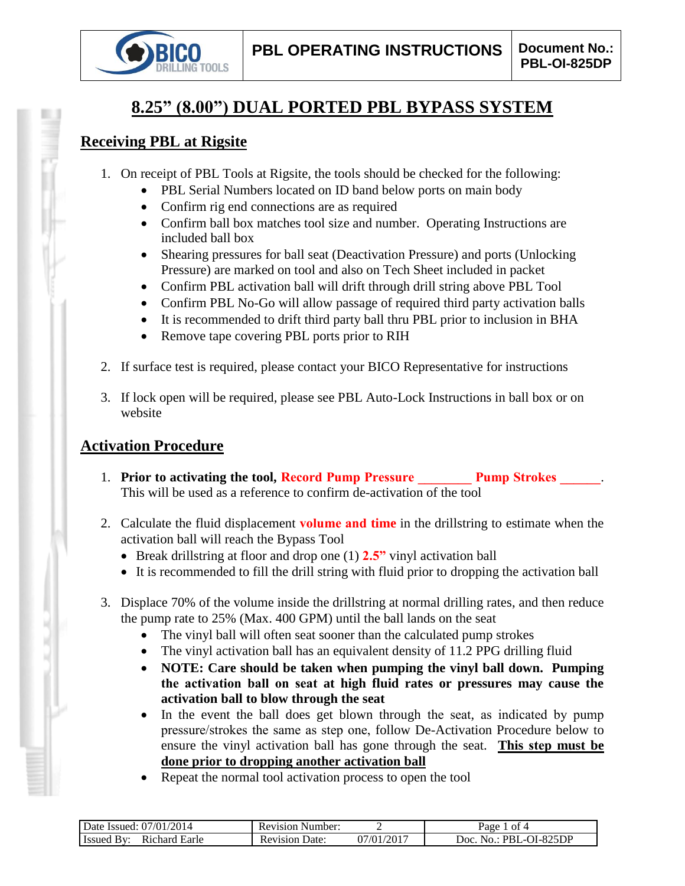

# **8.25" (8.00") DUAL PORTED PBL BYPASS SYSTEM**

## **Receiving PBL at Rigsite**

- 1. On receipt of PBL Tools at Rigsite, the tools should be checked for the following:
	- PBL Serial Numbers located on ID band below ports on main body
	- Confirm rig end connections are as required
	- Confirm ball box matches tool size and number. Operating Instructions are included ball box
	- Shearing pressures for ball seat (Deactivation Pressure) and ports (Unlocking Pressure) are marked on tool and also on Tech Sheet included in packet
	- Confirm PBL activation ball will drift through drill string above PBL Tool
	- Confirm PBL No-Go will allow passage of required third party activation balls
	- It is recommended to drift third party ball thru PBL prior to inclusion in BHA
	- Remove tape covering PBL ports prior to RIH
- 2. If surface test is required, please contact your BICO Representative for instructions
- 3. If lock open will be required, please see PBL Auto-Lock Instructions in ball box or on website

## **Activation Procedure**

- 1. **Prior to activating the tool, Record Pump Pressure Pump Strokes 2. Pump Strokes** This will be used as a reference to confirm de-activation of the tool
- 2. Calculate the fluid displacement **volume and time** in the drillstring to estimate when the activation ball will reach the Bypass Tool
	- Break drillstring at floor and drop one (1) **2.5"** vinyl activation ball
	- It is recommended to fill the drill string with fluid prior to dropping the activation ball
- 3. Displace 70% of the volume inside the drillstring at normal drilling rates, and then reduce the pump rate to 25% (Max. 400 GPM) until the ball lands on the seat
	- The vinyl ball will often seat sooner than the calculated pump strokes
	- The vinyl activation ball has an equivalent density of 11.2 PPG drilling fluid
	- **NOTE: Care should be taken when pumping the vinyl ball down. Pumping the activation ball on seat at high fluid rates or pressures may cause the activation ball to blow through the seat**
	- In the event the ball does get blown through the seat, as indicated by pump pressure/strokes the same as step one, follow De-Activation Procedure below to ensure the vinyl activation ball has gone through the seat. **This step must be done prior to dropping another activation ball**
	- Repeat the normal tool activation process to open the tool

| 2014<br>07/01/<br>Date Issued:                | Number:<br>Revision     |               | nt 4<br>Раое                         |
|-----------------------------------------------|-------------------------|---------------|--------------------------------------|
| Earle<br>ıchard<br>∪ Issue<br>R <sub>10</sub> | Jate:<br>evision.<br>ĸι | /2017<br>7/01 | -825DP<br>Joc<br>PRI<br>$\mathbf{a}$ |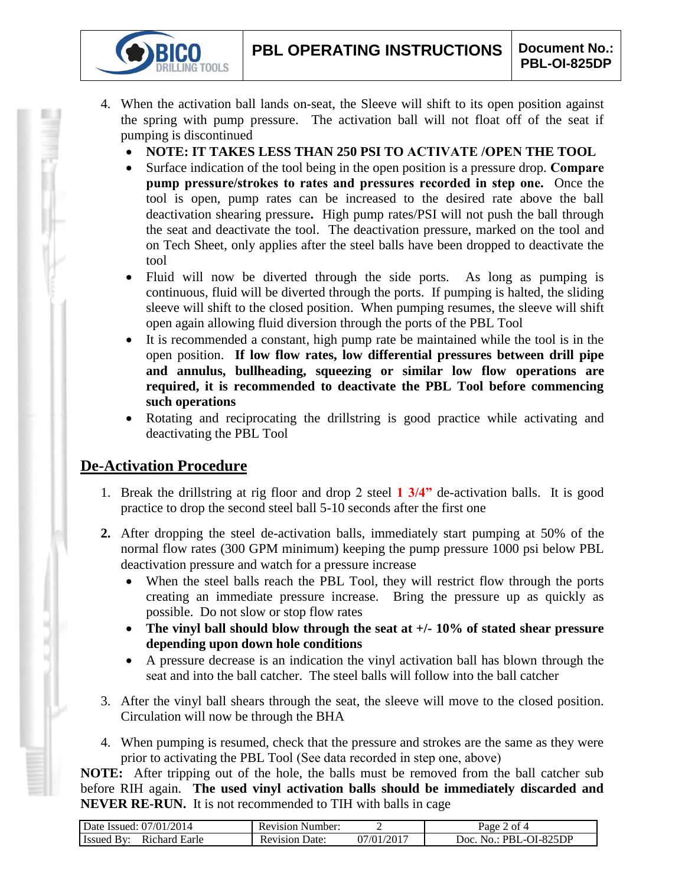- 4. When the activation ball lands on-seat, the Sleeve will shift to its open position against the spring with pump pressure. The activation ball will not float off of the seat if pumping is discontinued
	- **NOTE: IT TAKES LESS THAN 250 PSI TO ACTIVATE /OPEN THE TOOL**
	- Surface indication of the tool being in the open position is a pressure drop. **Compare pump pressure/strokes to rates and pressures recorded in step one.** Once the tool is open, pump rates can be increased to the desired rate above the ball deactivation shearing pressure**.** High pump rates/PSI will not push the ball through the seat and deactivate the tool. The deactivation pressure, marked on the tool and on Tech Sheet, only applies after the steel balls have been dropped to deactivate the tool
	- Fluid will now be diverted through the side ports. As long as pumping is continuous, fluid will be diverted through the ports. If pumping is halted, the sliding sleeve will shift to the closed position. When pumping resumes, the sleeve will shift open again allowing fluid diversion through the ports of the PBL Tool
	- It is recommended a constant, high pump rate be maintained while the tool is in the open position. **If low flow rates, low differential pressures between drill pipe and annulus, bullheading, squeezing or similar low flow operations are required, it is recommended to deactivate the PBL Tool before commencing such operations**
	- Rotating and reciprocating the drillstring is good practice while activating and deactivating the PBL Tool

## **De-Activation Procedure**

**IG TOOLS** 

- 1. Break the drillstring at rig floor and drop 2 steel **1 3/4"** de-activation balls. It is good practice to drop the second steel ball 5-10 seconds after the first one
- **2.** After dropping the steel de-activation balls, immediately start pumping at 50% of the normal flow rates (300 GPM minimum) keeping the pump pressure 1000 psi below PBL deactivation pressure and watch for a pressure increase
	- When the steel balls reach the PBL Tool, they will restrict flow through the ports creating an immediate pressure increase. Bring the pressure up as quickly as possible. Do not slow or stop flow rates
	- **The vinyl ball should blow through the seat at +/- 10% of stated shear pressure depending upon down hole conditions**
	- A pressure decrease is an indication the vinyl activation ball has blown through the seat and into the ball catcher. The steel balls will follow into the ball catcher
- 3. After the vinyl ball shears through the seat, the sleeve will move to the closed position. Circulation will now be through the BHA
- 4. When pumping is resumed, check that the pressure and strokes are the same as they were prior to activating the PBL Tool (See data recorded in step one, above)

**NOTE:** After tripping out of the hole, the balls must be removed from the ball catcher sub before RIH again. **The used vinyl activation balls should be immediately discarded and NEVER RE-RUN.** It is not recommended to TIH with balls in cage

| Date Issued: 07/01/2014            | <b>Revision Number:</b> |                         | $2$ of 4<br>$a$ ge $\angle$           |
|------------------------------------|-------------------------|-------------------------|---------------------------------------|
| <b>Issued By:</b><br>Richard Earle | Revision<br>Date:       | .)7/01/201 <sup>-</sup> | : PBL-OI-825DP<br>Doc.<br>$N\Omega$ . |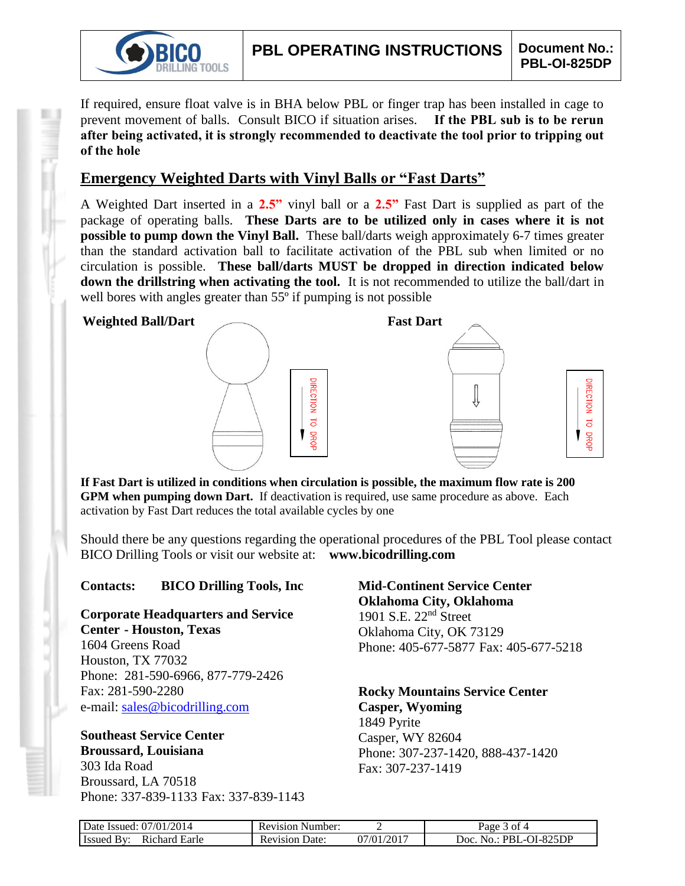

If required, ensure float valve is in BHA below PBL or finger trap has been installed in cage to prevent movement of balls. Consult BICO if situation arises. **If the PBL sub is to be rerun after being activated, it is strongly recommended to deactivate the tool prior to tripping out of the hole**

## **Emergency Weighted Darts with Vinyl Balls or "Fast Darts"**

A Weighted Dart inserted in a **2.5"** vinyl ball or a **2.5"** Fast Dart is supplied as part of the package of operating balls. **These Darts are to be utilized only in cases where it is not possible to pump down the Vinyl Ball.** These ball/darts weigh approximately 6-7 times greater than the standard activation ball to facilitate activation of the PBL sub when limited or no circulation is possible. **These ball/darts MUST be dropped in direction indicated below down the drillstring when activating the tool.** It is not recommended to utilize the ball/dart in well bores with angles greater than 55<sup>°</sup> if pumping is not possible



**If Fast Dart is utilized in conditions when circulation is possible, the maximum flow rate is 200 GPM when pumping down Dart.** If deactivation is required, use same procedure as above. Each activation by Fast Dart reduces the total available cycles by one

Should there be any questions regarding the operational procedures of the PBL Tool please contact BICO Drilling Tools or visit our website at: **www.bicodrilling.com**

### **Contacts: BICO Drilling Tools, Inc**

**Corporate Headquarters and Service Center - Houston, Texas**

1604 Greens Road Houston, TX 77032 Phone: 281-590-6966, 877-779-2426 Fax: 281-590-2280 e-mail: [sales@bicodrilling.com](mailto:sales@bicodrilling.com)

#### **Southeast Service Center Broussard, Louisiana** 303 Ida Road

Broussard, LA 70518 Phone: 337-839-1133 Fax: 337-839-1143 **Mid-Continent Service Center Oklahoma City, Oklahoma** 1901 S.E. 22nd Street Oklahoma City, OK 73129 Phone: 405-677-5877 Fax: 405-677-5218

**Rocky Mountains Service Center Casper, Wyoming** 1849 Pyrite Casper, WY 82604 Phone: 307-237-1420, 888-437-1420 Fax: 307-237-1419

| Date Issued: 07/01/2014     | <b>Revision Number:</b> |                          | Page 3 of 4               |
|-----------------------------|-------------------------|--------------------------|---------------------------|
| Richard Earle<br>Issued By: | <b>Revision Date:</b>   | $07/01/201$ <sup>-</sup> | No.: PBL-OI-825DP<br>Doc. |